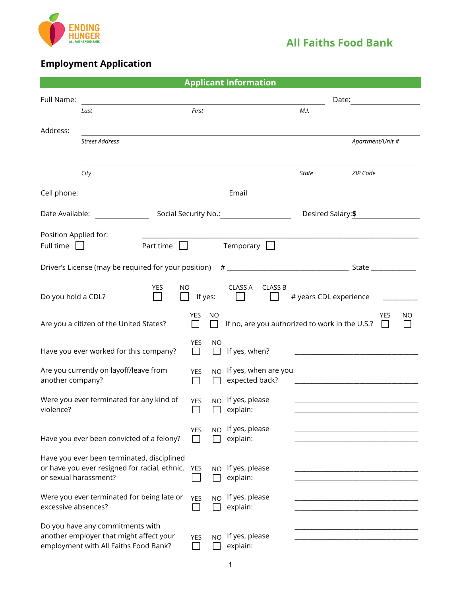

# **Employment Application**

| <b>Applicant Information</b> |                                                                                                                      |            |           |                                                |                        |                                                                                                                       |
|------------------------------|----------------------------------------------------------------------------------------------------------------------|------------|-----------|------------------------------------------------|------------------------|-----------------------------------------------------------------------------------------------------------------------|
| Full Name:                   |                                                                                                                      |            |           |                                                | Date:                  |                                                                                                                       |
|                              | Last                                                                                                                 | First      |           |                                                | M.I.                   |                                                                                                                       |
|                              |                                                                                                                      |            |           |                                                |                        |                                                                                                                       |
| Address:                     | <b>Street Address</b>                                                                                                |            |           |                                                |                        | Apartment/Unit #                                                                                                      |
|                              |                                                                                                                      |            |           |                                                |                        |                                                                                                                       |
|                              |                                                                                                                      |            |           |                                                |                        |                                                                                                                       |
|                              | City                                                                                                                 |            |           |                                                | State                  | ZIP Code                                                                                                              |
|                              |                                                                                                                      |            |           | Email                                          |                        | <u> 1989 - Andrea Barbara, poeta espainiar político e a contrar a contrar a contrar a contrar a contrar a con</u>     |
| Date Available:              |                                                                                                                      |            |           | Social Security No.: Social Security No.:      | Desired Salary:\$      |                                                                                                                       |
| Position Applied for:        |                                                                                                                      |            |           |                                                |                        |                                                                                                                       |
| Full time                    | Part time<br>$\mathbf{I}$<br>$\mathbf{1}$                                                                            |            |           | Temporary $\Box$                               |                        |                                                                                                                       |
|                              |                                                                                                                      |            |           |                                                |                        |                                                                                                                       |
|                              |                                                                                                                      |            |           |                                                |                        |                                                                                                                       |
| Do you hold a CDL?           | <b>YES</b><br>NO.                                                                                                    | If yes:    |           | CLASS A<br><b>CLASS B</b>                      | # years CDL experience |                                                                                                                       |
|                              | Are you a citizen of the United States?                                                                              | <b>YES</b> | NO        | If no, are you authorized to work in the U.S.? |                        | <b>YES</b><br>NO<br>$\mathbf{L}$                                                                                      |
|                              | Have you ever worked for this company?                                                                               | YES        | ΝO        | If yes, when?                                  |                        | <u> 1980 - Johann Barn, mars ann an t-Amhain Aonaich an t-Aonaich an t-Aonaich an t-Aonaich an t-Aonaich an t-Aon</u> |
| another company?             | Are you currently on layoff/leave from                                                                               | <b>YES</b> | NO.       | If yes, when are you<br>expected back?         |                        |                                                                                                                       |
| violence?                    | Were you ever terminated for any kind of                                                                             | <b>YES</b> | <b>NO</b> | If yes, please<br>explain:                     |                        |                                                                                                                       |
|                              | Have you ever been convicted of a felony?                                                                            | YES        | NO.       | If yes, please<br>explain:                     |                        |                                                                                                                       |
| or sexual harassment?        | Have you ever been terminated, disciplined<br>or have you ever resigned for racial, ethnic,                          | YES        | NO.       | If yes, please<br>explain:                     |                        |                                                                                                                       |
| excessive absences?          | Were you ever terminated for being late or                                                                           | <b>YES</b> | <b>NO</b> | If yes, please<br>explain:                     |                        |                                                                                                                       |
|                              | Do you have any commitments with<br>another employer that might affect your<br>employment with All Faiths Food Bank? | <b>YES</b> | <b>NO</b> | If yes, please<br>explain:                     |                        |                                                                                                                       |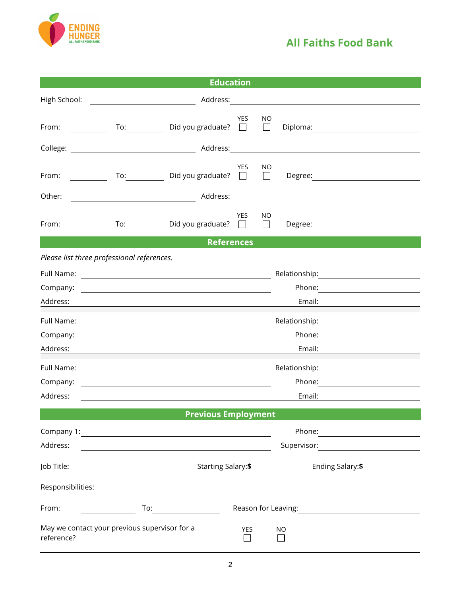

| <b>Education</b> |                                                                                                                                                                                                                                                                                                                                                                                 |  |  |  |
|------------------|---------------------------------------------------------------------------------------------------------------------------------------------------------------------------------------------------------------------------------------------------------------------------------------------------------------------------------------------------------------------------------|--|--|--|
| High School:     | Address:                                                                                                                                                                                                                                                                                                                                                                        |  |  |  |
| From:            | YES.<br>ΝO<br>To: Did you graduate?<br>Diploma: <u>_________</u><br>$\mathbf{L}$<br>$\Box$                                                                                                                                                                                                                                                                                      |  |  |  |
|                  | Address:                                                                                                                                                                                                                                                                                                                                                                        |  |  |  |
| From:            | <b>YES</b><br>ΝO<br>Did you graduate?<br>To: and the state of the state of the state of the state of the state of the state of the state of the state of the state of the state of the state of the state of the state of the state of the state of the state of the st<br>$\Box$<br>Degree:<br>$\perp$                                                                         |  |  |  |
| Other:           | Address:                                                                                                                                                                                                                                                                                                                                                                        |  |  |  |
| From:            | <b>YES</b><br>NO<br>To: Did you graduate?<br>Degree: and the state of the state of the state of the state of the state of the state of the state of the state of the state of the state of the state of the state of the state of the state of the state of the state of th<br>$\perp$                                                                                          |  |  |  |
|                  | <b>References</b>                                                                                                                                                                                                                                                                                                                                                               |  |  |  |
|                  | Please list three professional references.                                                                                                                                                                                                                                                                                                                                      |  |  |  |
| Full Name:       | <u> 1980 - Johann Stoff, deutscher Stoffen und der Stoffen und der Stoffen und der Stoffen und der Stoffen und de</u>                                                                                                                                                                                                                                                           |  |  |  |
| Company:         | Phone: <u>________________</u><br><u> 1989 - Andrea Stadt Britain, amerikansk politiker (</u>                                                                                                                                                                                                                                                                                   |  |  |  |
| Address:         | Email:                                                                                                                                                                                                                                                                                                                                                                          |  |  |  |
| Full Name:       | <u> 1989 - Johann Stoff, Amerikaansk politiker († 1908)</u>                                                                                                                                                                                                                                                                                                                     |  |  |  |
| Company:         | Phone: <u>___________________</u><br><u> 1980 - Johann John Stein, mars and de British and de British and de British and de British and de British an</u>                                                                                                                                                                                                                       |  |  |  |
| Address:         | Email:                                                                                                                                                                                                                                                                                                                                                                          |  |  |  |
| Full Name:       |                                                                                                                                                                                                                                                                                                                                                                                 |  |  |  |
| Company:         |                                                                                                                                                                                                                                                                                                                                                                                 |  |  |  |
| Address:         | Email:                                                                                                                                                                                                                                                                                                                                                                          |  |  |  |
|                  | <b>Previous Employment</b>                                                                                                                                                                                                                                                                                                                                                      |  |  |  |
|                  | Company 1: <u>company</u> 1:                                                                                                                                                                                                                                                                                                                                                    |  |  |  |
| Address:         |                                                                                                                                                                                                                                                                                                                                                                                 |  |  |  |
| Job Title:       | Starting Salary:\$<br>Ending Salary: \$                                                                                                                                                                                                                                                                                                                                         |  |  |  |
|                  |                                                                                                                                                                                                                                                                                                                                                                                 |  |  |  |
| From:            | Reason for Leaving: 1999<br>$\begin{picture}(180,10) \put(0,0){\line(1,0){10}} \put(15,0){\line(1,0){10}} \put(15,0){\line(1,0){10}} \put(15,0){\line(1,0){10}} \put(15,0){\line(1,0){10}} \put(15,0){\line(1,0){10}} \put(15,0){\line(1,0){10}} \put(15,0){\line(1,0){10}} \put(15,0){\line(1,0){10}} \put(15,0){\line(1,0){10}} \put(15,0){\line(1,0){10}} \put(15,0){\line($ |  |  |  |
| reference?       | May we contact your previous supervisor for a<br>YES<br><b>NO</b>                                                                                                                                                                                                                                                                                                               |  |  |  |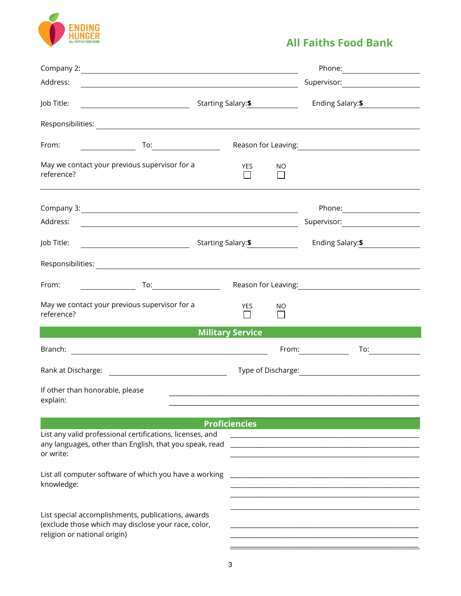

| Address:<br><u> 1989 - Johann Stoff, deutscher Stoffen und der Stoffen und der Stoffen und der Stoffen und der Stoffen und der</u>        |                         |           |                                                                 |
|-------------------------------------------------------------------------------------------------------------------------------------------|-------------------------|-----------|-----------------------------------------------------------------|
| Job Title:                                                                                                                                |                         |           |                                                                 |
|                                                                                                                                           |                         |           |                                                                 |
| From:<br>$\begin{array}{cccccccccc} & & & & & \text{To:} & & & \text{---} & \ \end{array}$                                                |                         |           | Reason for Leaving: 1999                                        |
| May we contact your previous supervisor for a<br>reference?                                                                               | <b>YES</b>              | <b>NO</b> |                                                                 |
| Company 3: 2008 Company 3:                                                                                                                |                         |           |                                                                 |
|                                                                                                                                           |                         |           |                                                                 |
|                                                                                                                                           |                         |           | Ending Salary: \$                                               |
|                                                                                                                                           |                         |           |                                                                 |
| From:<br>$\overline{a}$ To: $\overline{a}$ To: $\overline{a}$                                                                             |                         |           | Reason for Leaving: 1999                                        |
| May we contact your previous supervisor for a<br>reference?                                                                               | <b>YES</b>              | <b>NO</b> |                                                                 |
|                                                                                                                                           | <b>Military Service</b> |           |                                                                 |
| Branch:<br><u> 1988 - Johann Stoff, fransk politik (f. 1988)</u>                                                                          |                         |           | From: $\overline{\qquad \qquad }$<br>To: $\qquad \qquad \qquad$ |
|                                                                                                                                           |                         |           |                                                                 |
| If other than honorable, please<br>explain:                                                                                               |                         |           |                                                                 |
| List any valid professional certifications, licenses, and<br>any languages, other than English, that you speak, read<br>or write:         | <b>Proficiencies</b>    |           |                                                                 |
| List all computer software of which you have a working<br>knowledge:                                                                      |                         |           |                                                                 |
| List special accomplishments, publications, awards<br>(exclude those which may disclose your race, color,<br>religion or national origin) |                         |           |                                                                 |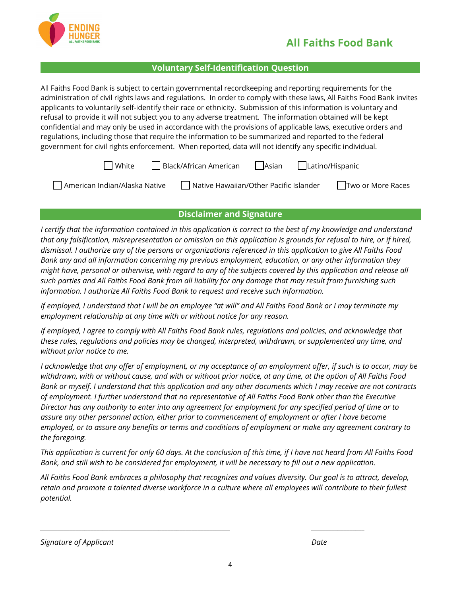

#### **Voluntary Self-Identification Question**

All Faiths Food Bank is subject to certain governmental recordkeeping and reporting requirements for the administration of civil rights laws and regulations. In order to comply with these laws, All Faiths Food Bank invites applicants to voluntarily self-identify their race or ethnicity. Submission of this information is voluntary and refusal to provide it will not subject you to any adverse treatment. The information obtained will be kept confidential and may only be used in accordance with the provisions of applicable laws, executive orders and regulations, including those that require the information to be summarized and reported to the federal government for civil rights enforcement. When reported, data will not identify any specific individual.

| $\Box$ White<br>$\Box$ Black/African American<br>Asian Latino/Hispanic |  |
|------------------------------------------------------------------------|--|
|------------------------------------------------------------------------|--|

| American Indian/Alaska Native | $\overline{\phantom{a}}$ Native Hawaiian/Other Pacific Islander | Two or More Races |
|-------------------------------|-----------------------------------------------------------------|-------------------|
|-------------------------------|-----------------------------------------------------------------|-------------------|

#### **Disclaimer and Signature**

*I certify that the information contained in this application is correct to the best of my knowledge and understand that any falsification, misrepresentation or omission on this application is grounds for refusal to hire, or if hired, dismissal. I authorize any of the persons or organizations referenced in this application to give All Faiths Food Bank any and all information concerning my previous employment, education, or any other information they might have, personal or otherwise, with regard to any of the subjects covered by this application and release all such parties and All Faiths Food Bank from all liability for any damage that may result from furnishing such information. I authorize All Faiths Food Bank to request and receive such information.*

*If employed, I understand that I will be an employee "at will" and All Faiths Food Bank or I may terminate my employment relationship at any time with or without notice for any reason.*

*If employed, I agree to comply with All Faiths Food Bank rules, regulations and policies, and acknowledge that these rules, regulations and policies may be changed, interpreted, withdrawn, or supplemented any time, and without prior notice to me.*

*I acknowledge that any offer of employment, or my acceptance of an employment offer, if such is to occur, may be withdrawn, with or without cause, and with or without prior notice, at any time, at the option of All Faiths Food Bank or myself. I understand that this application and any other documents which I may receive are not contracts of employment. I further understand that no representative of All Faiths Food Bank other than the Executive Director has any authority to enter into any agreement for employment for any specified period of time or to assure any other personnel action, either prior to commencement of employment or after I have become employed, or to assure any benefits or terms and conditions of employment or make any agreement contrary to the foregoing.*

*This application is current for only 60 days. At the conclusion of this time, if I have not heard from All Faiths Food Bank, and still wish to be considered for employment, it will be necessary to fill out a new application.*

*All Faiths Food Bank embraces a philosophy that recognizes and values diversity. Our goal is to attract, develop, retain and promote a talented diverse workforce in a culture where all employees will contribute to their fullest potential.*

*\_\_\_\_\_\_\_\_\_\_\_\_\_\_\_\_\_\_\_\_\_\_\_\_\_\_\_\_\_\_\_\_\_\_\_\_\_\_\_\_\_\_\_\_\_\_\_\_\_\_\_\_\_\_\_\_\_\_\_\_\_\_\_\_ \_\_\_\_\_\_\_\_\_\_\_\_\_\_\_\_\_\_*

*Signature of Applicant Date*